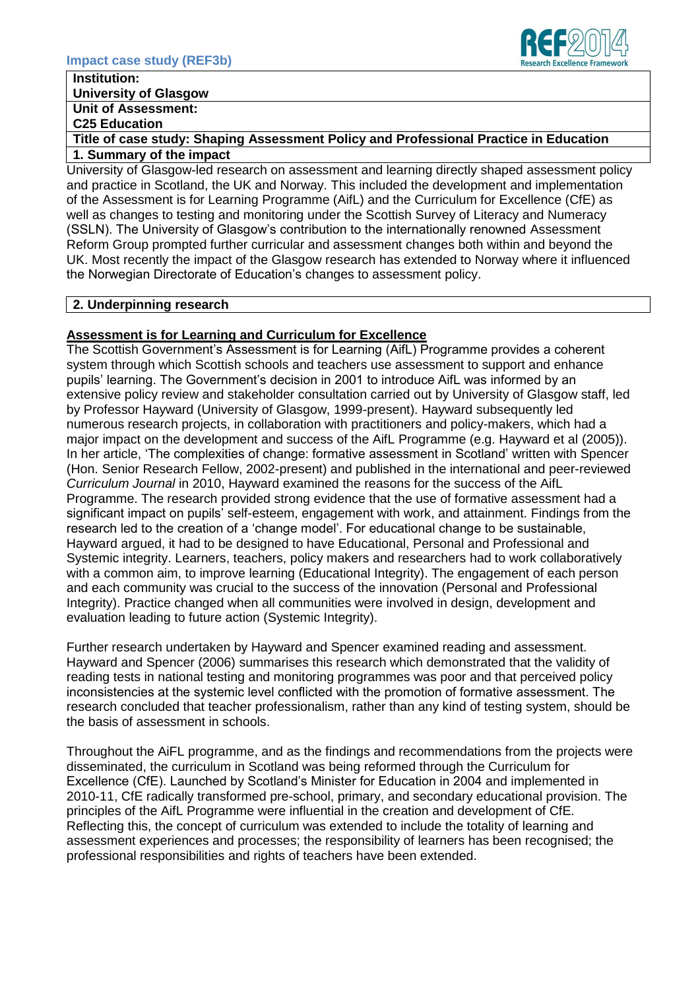

# **Institution:**

# **University of Glasgow**

**Unit of Assessment:** 

**C25 Education**

**Title of case study: Shaping Assessment Policy and Professional Practice in Education 1. Summary of the impact** 

University of Glasgow-led research on assessment and learning directly shaped assessment policy and practice in Scotland, the UK and Norway. This included the development and implementation of the Assessment is for Learning Programme (AifL) and the Curriculum for Excellence (CfE) as well as changes to testing and monitoring under the Scottish Survey of Literacy and Numeracy (SSLN). The University of Glasgow's contribution to the internationally renowned Assessment Reform Group prompted further curricular and assessment changes both within and beyond the UK. Most recently the impact of the Glasgow research has extended to Norway where it influenced the Norwegian Directorate of Education's changes to assessment policy.

## **2. Underpinning research**

# **Assessment is for Learning and Curriculum for Excellence**

The Scottish Government's Assessment is for Learning (AifL) Programme provides a coherent system through which Scottish schools and teachers use assessment to support and enhance pupils' learning. The Government's decision in 2001 to introduce AifL was informed by an extensive policy review and stakeholder consultation carried out by University of Glasgow staff, led by Professor Hayward (University of Glasgow, 1999-present). Hayward subsequently led numerous research projects, in collaboration with practitioners and policy-makers, which had a major impact on the development and success of the AifL Programme (e.g. Hayward et al (2005)). In her article, 'The complexities of change: formative assessment in Scotland' written with Spencer (Hon. Senior Research Fellow, 2002-present) and published in the international and peer-reviewed *Curriculum Journal* in 2010, Hayward examined the reasons for the success of the AifL Programme. The research provided strong evidence that the use of formative assessment had a significant impact on pupils' self-esteem, engagement with work, and attainment. Findings from the research led to the creation of a 'change model'. For educational change to be sustainable, Hayward argued, it had to be designed to have Educational, Personal and Professional and Systemic integrity. Learners, teachers, policy makers and researchers had to work collaboratively with a common aim, to improve learning (Educational Integrity). The engagement of each person and each community was crucial to the success of the innovation (Personal and Professional Integrity). Practice changed when all communities were involved in design, development and evaluation leading to future action (Systemic Integrity).

Further research undertaken by Hayward and Spencer examined reading and assessment. Hayward and Spencer (2006) summarises this research which demonstrated that the validity of reading tests in national testing and monitoring programmes was poor and that perceived policy inconsistencies at the systemic level conflicted with the promotion of formative assessment. The research concluded that teacher professionalism, rather than any kind of testing system, should be the basis of assessment in schools.

Throughout the AiFL programme, and as the findings and recommendations from the projects were disseminated, the curriculum in Scotland was being reformed through the Curriculum for Excellence (CfE). Launched by Scotland's Minister for Education in 2004 and implemented in 2010-11, CfE radically transformed pre-school, primary, and secondary educational provision. The principles of the AifL Programme were influential in the creation and development of CfE. Reflecting this, the concept of curriculum was extended to include the totality of learning and assessment experiences and processes; the responsibility of learners has been recognised; the professional responsibilities and rights of teachers have been extended.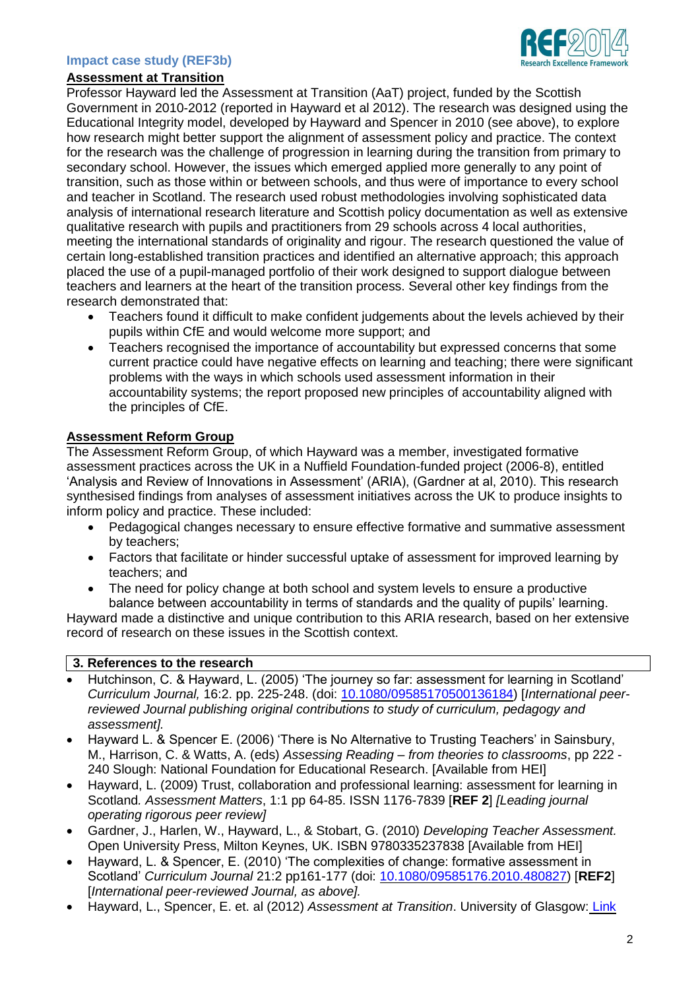#### **Impact case study (REF3b)**

#### **Assessment at Transition**

Professor Hayward led the Assessment at Transition (AaT) project, funded by the Scottish Government in 2010-2012 (reported in Hayward et al 2012). The research was designed using the Educational Integrity model, developed by Hayward and Spencer in 2010 (see above), to explore how research might better support the alignment of assessment policy and practice. The context for the research was the challenge of progression in learning during the transition from primary to secondary school. However, the issues which emerged applied more generally to any point of transition, such as those within or between schools, and thus were of importance to every school and teacher in Scotland. The research used robust methodologies involving sophisticated data analysis of international research literature and Scottish policy documentation as well as extensive qualitative research with pupils and practitioners from 29 schools across 4 local authorities, meeting the international standards of originality and rigour. The research questioned the value of certain long-established transition practices and identified an alternative approach; this approach placed the use of a pupil-managed portfolio of their work designed to support dialogue between teachers and learners at the heart of the transition process. Several other key findings from the research demonstrated that:

- Teachers found it difficult to make confident judgements about the levels achieved by their pupils within CfE and would welcome more support; and
- Teachers recognised the importance of accountability but expressed concerns that some current practice could have negative effects on learning and teaching; there were significant problems with the ways in which schools used assessment information in their accountability systems; the report proposed new principles of accountability aligned with the principles of CfE.

## **Assessment Reform Group**

The Assessment Reform Group, of which Hayward was a member, investigated formative assessment practices across the UK in a Nuffield Foundation-funded project (2006-8), entitled 'Analysis and Review of Innovations in Assessment' (ARIA), (Gardner at al, 2010). This research synthesised findings from analyses of assessment initiatives across the UK to produce insights to inform policy and practice. These included:

- Pedagogical changes necessary to ensure effective formative and summative assessment by teachers;
- Factors that facilitate or hinder successful uptake of assessment for improved learning by teachers; and
- The need for policy change at both school and system levels to ensure a productive balance between accountability in terms of standards and the quality of pupils' learning.

Hayward made a distinctive and unique contribution to this ARIA research, based on her extensive record of research on these issues in the Scottish context.

## **3. References to the research**

- Hutchinson, C. & Hayward, L. (2005) 'The journey so far: assessment for learning in Scotland' *Curriculum Journal,* 16:2. pp. 225-248. (doi: [10.1080/09585170500136184\)](http://dx.doi.org/10.1080/09585170500136184) [*International peerreviewed Journal publishing original contributions to study of curriculum, pedagogy and assessment].*
- Hayward L. & Spencer E. (2006) 'There is No Alternative to Trusting Teachers' in Sainsbury, M., Harrison, C. & Watts, A. (eds) *Assessing Reading – from theories to classrooms*, pp 222 - 240 Slough: National Foundation for Educational Research. [Available from HEI]
- Hayward, L. (2009) Trust, collaboration and professional learning: assessment for learning in Scotland*. Assessment Matters*, 1:1 pp 64-85. ISSN 1176-7839 [**REF 2**] *[Leading journal operating rigorous peer review]*
- Gardner, J., Harlen, W., Hayward, L., & Stobart, G. (2010) *Developing Teacher Assessment.* Open University Press, Milton Keynes, UK. ISBN 9780335237838 [Available from HEI]
- Hayward, L. & Spencer, E. (2010) 'The complexities of change: formative assessment in Scotland' *Curriculum Journal* 21:2 pp161-177 (doi: [10.1080/09585176.2010.480827\)](http://dx.doi.org/10.1080/09585176.2010.480827) [**REF2**] [*International peer-reviewed Journal, as above].*
- Hayward, L., Spencer, E. et. al (2012) *Assessment at Transition*. University of Glasgow: [Link](http://www.gla.ac.uk/media/media_238641_en.pdf)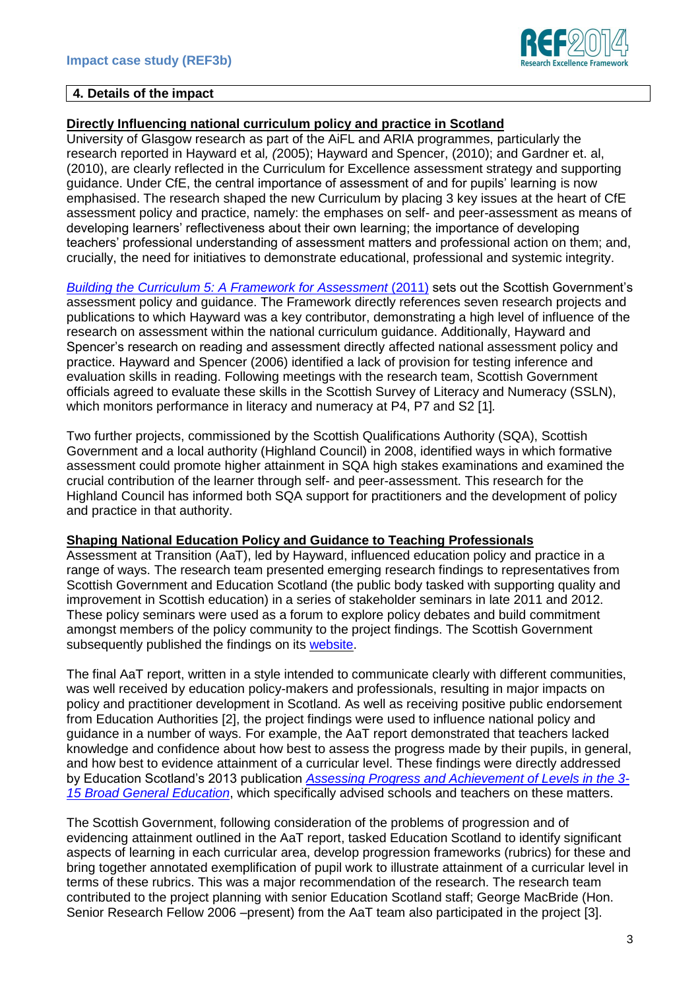

#### **4. Details of the impact**

# **Directly Influencing national curriculum policy and practice in Scotland**

University of Glasgow research as part of the AiFL and ARIA programmes, particularly the research reported in Hayward et al*, (*2005); Hayward and Spencer, (2010); and Gardner et. al, (2010), are clearly reflected in the Curriculum for Excellence assessment strategy and supporting guidance. Under CfE, the central importance of assessment of and for pupils' learning is now emphasised. The research shaped the new Curriculum by placing 3 key issues at the heart of CfE assessment policy and practice, namely: the emphases on self- and peer-assessment as means of developing learners' reflectiveness about their own learning; the importance of developing teachers' professional understanding of assessment matters and professional action on them; and, crucially, the need for initiatives to demonstrate educational, professional and systemic integrity.

*[Building the Curriculum 5: A Framework for Assessment](http://www.educationscotland.gov.uk/Images/BtC5Framework_tcm4-653230.pdf)* (2011) sets out the Scottish Government's assessment policy and guidance. The Framework directly references seven research projects and publications to which Hayward was a key contributor, demonstrating a high level of influence of the research on assessment within the national curriculum guidance. Additionally, Hayward and Spencer's research on reading and assessment directly affected national assessment policy and practice. Hayward and Spencer (2006) identified a lack of provision for testing inference and evaluation skills in reading. Following meetings with the research team, Scottish Government officials agreed to evaluate these skills in the Scottish Survey of Literacy and Numeracy (SSLN), which monitors performance in literacy and numeracy at P4, P7 and S2 [1]*.* 

Two further projects, commissioned by the Scottish Qualifications Authority (SQA), Scottish Government and a local authority (Highland Council) in 2008, identified ways in which formative assessment could promote higher attainment in SQA high stakes examinations and examined the crucial contribution of the learner through self- and peer-assessment. This research for the Highland Council has informed both SQA support for practitioners and the development of policy and practice in that authority.

## **Shaping National Education Policy and Guidance to Teaching Professionals**

Assessment at Transition (AaT), led by Hayward, influenced education policy and practice in a range of ways. The research team presented emerging research findings to representatives from Scottish Government and Education Scotland (the public body tasked with supporting quality and improvement in Scottish education) in a series of stakeholder seminars in late 2011 and 2012. These policy seminars were used as a forum to explore policy debates and build commitment amongst members of the policy community to the project findings. The Scottish Government subsequently published the findings on its [website.](http://www.scotland.gov.uk/Topics/Education/Schools/curriculum/assessment)

The final AaT report, written in a style intended to communicate clearly with different communities, was well received by education policy-makers and professionals, resulting in major impacts on policy and practitioner development in Scotland. As well as receiving positive public endorsement from Education Authorities [2], the project findings were used to influence national policy and guidance in a number of ways. For example, the AaT report demonstrated that teachers lacked knowledge and confidence about how best to assess the progress made by their pupils, in general, and how best to evidence attainment of a curricular level. These findings were directly addressed by Education Scotland's 2013 publication *[Assessing Progress and Achievement of Levels in the 3-](http://www.educationscotland.gov.uk/Images/CfEbriefing2_tcm4-730387.pdf) [15 Broad General Education](http://www.educationscotland.gov.uk/Images/CfEbriefing2_tcm4-730387.pdf)*, which specifically advised schools and teachers on these matters.

The Scottish Government, following consideration of the problems of progression and of evidencing attainment outlined in the AaT report, tasked Education Scotland to identify significant aspects of learning in each curricular area, develop progression frameworks (rubrics) for these and bring together annotated exemplification of pupil work to illustrate attainment of a curricular level in terms of these rubrics. This was a major recommendation of the research. The research team contributed to the project planning with senior Education Scotland staff; George MacBride (Hon. Senior Research Fellow 2006 –present) from the AaT team also participated in the project [3].